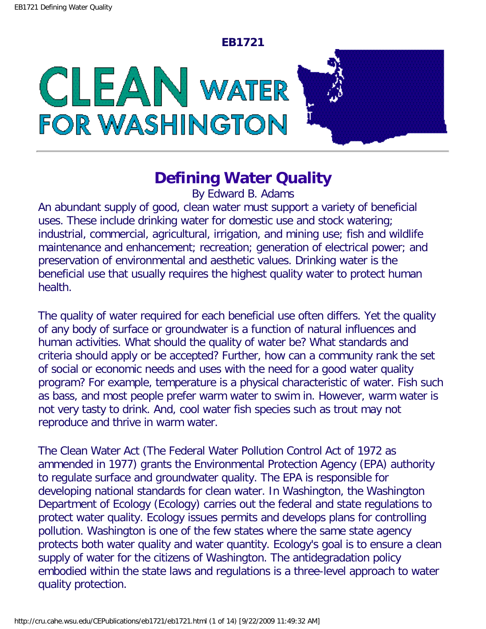#### **EB1721**

CLEAN WATER **FOR WASHINGTON** 

# **Defining Water Quality**

By Edward B. Adams

An abundant supply of good, clean water must support a variety of beneficial uses. These include drinking water for domestic use and stock watering; industrial, commercial, agricultural, irrigation, and mining use; fish and wildlife maintenance and enhancement; recreation; generation of electrical power; and preservation of environmental and aesthetic values. Drinking water is the beneficial use that usually requires the highest quality water to protect human health.

The quality of water required for each beneficial use often differs. Yet the quality of any body of surface or groundwater is a function of natural influences and human activities. What should the quality of water be? What standards and criteria should apply or be accepted? Further, how can a community rank the set of social or economic needs and uses with the need for a good water quality program? For example, temperature is a physical characteristic of water. Fish such as bass, and most people prefer warm water to swim in. However, warm water is not very tasty to drink. And, cool water fish species such as trout may not reproduce and thrive in warm water.

The Clean Water Act (The Federal Water Pollution Control Act of 1972 as ammended in 1977) grants the Environmental Protection Agency (EPA) authority to regulate surface and groundwater quality. The EPA is responsible for developing national standards for clean water. In Washington, the Washington Department of Ecology (Ecology) carries out the federal and state regulations to protect water quality. Ecology issues permits and develops plans for controlling pollution. Washington is one of the few states where the same state agency protects both water quality and water quantity. Ecology's goal is to ensure a clean supply of water for the citizens of Washington. The antidegradation policy embodied within the state laws and regulations is a three-level approach to water quality protection.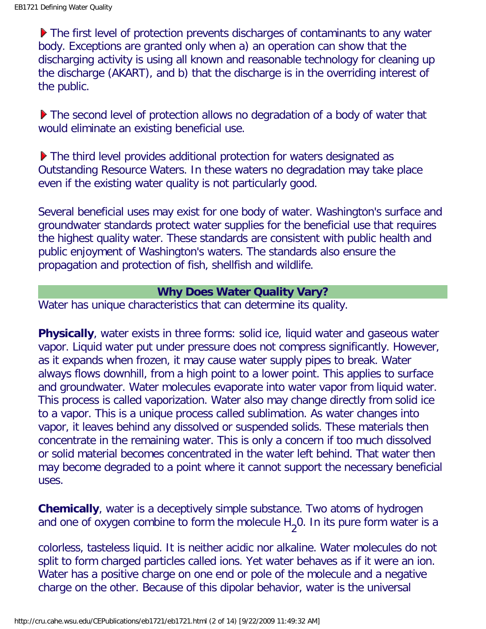▶ The first level of protection prevents discharges of contaminants to any water body. Exceptions are granted only when a) an operation can show that the discharging activity is using all known and reasonable technology for cleaning up the discharge (AKART), and b) that the discharge is in the overriding interest of the public.

▶ The second level of protection allows no degradation of a body of water that would eliminate an existing beneficial use.

▶ The third level provides additional protection for waters designated as Outstanding Resource Waters. In these waters no degradation may take place even if the existing water quality is not particularly good.

Several beneficial uses may exist for one body of water. Washington's surface and groundwater standards protect water supplies for the beneficial use that requires the highest quality water. These standards are consistent with public health and public enjoyment of Washington's waters. The standards also ensure the propagation and protection of fish, shellfish and wildlife.

### **Why Does Water Quality Vary?**

Water has unique characteristics that can determine its quality.

**Physically**, water exists in three forms: solid ice, liquid water and gaseous water vapor. Liquid water put under pressure does not compress significantly. However, as it expands when frozen, it may cause water supply pipes to break. Water always flows downhill, from a high point to a lower point. This applies to surface and groundwater. Water molecules evaporate into water vapor from liquid water. This process is called vaporization. Water also may change directly from solid ice to a vapor. This is a unique process called sublimation. As water changes into vapor, it leaves behind any dissolved or suspended solids. These materials then concentrate in the remaining water. This is only a concern if too much dissolved or solid material becomes concentrated in the water left behind. That water then may become degraded to a point where it cannot support the necessary beneficial uses.

**Chemically**, water is a deceptively simple substance. Two atoms of hydrogen and one of oxygen combine to form the molecule  $H_2$ 0. In its pure form water is a

colorless, tasteless liquid. It is neither acidic nor alkaline. Water molecules do not split to form charged particles called ions. Yet water behaves as if it were an ion. Water has a positive charge on one end or pole of the molecule and a negative charge on the other. Because of this dipolar behavior, water is the universal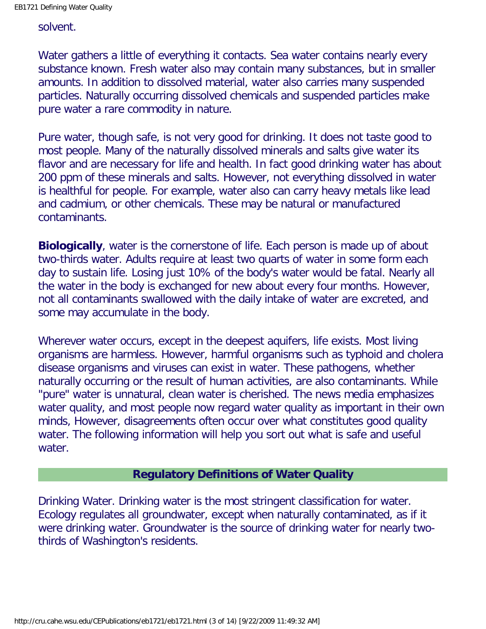#### solvent.

Water gathers a little of everything it contacts. Sea water contains nearly every substance known. Fresh water also may contain many substances, but in smaller amounts. In addition to dissolved material, water also carries many suspended particles. Naturally occurring dissolved chemicals and suspended particles make pure water a rare commodity in nature.

Pure water, though safe, is not very good for drinking. It does not taste good to most people. Many of the naturally dissolved minerals and salts give water its flavor and are necessary for life and health. In fact good drinking water has about 200 ppm of these minerals and salts. However, not everything dissolved in water is healthful for people. For example, water also can carry heavy metals like lead and cadmium, or other chemicals. These may be natural or manufactured contaminants.

**Biologically**, water is the cornerstone of life. Each person is made up of about two-thirds water. Adults require at least two quarts of water in some form each day to sustain life. Losing just 10% of the body's water would be fatal. Nearly all the water in the body is exchanged for new about every four months. However, not all contaminants swallowed with the daily intake of water are excreted, and some may accumulate in the body.

Wherever water occurs, except in the deepest aquifers, life exists. Most living organisms are harmless. However, harmful organisms such as typhoid and cholera disease organisms and viruses can exist in water. These pathogens, whether naturally occurring or the result of human activities, are also contaminants. While "pure" water is unnatural, clean water is cherished. The news media emphasizes water quality, and most people now regard water quality as important in their own minds, However, disagreements often occur over what constitutes good quality water. The following information will help you sort out what is safe and useful water.

## **Regulatory Definitions of Water Quality**

Drinking Water. Drinking water is the most stringent classification for water. Ecology regulates all groundwater, except when naturally contaminated, as if it were drinking water. Groundwater is the source of drinking water for nearly twothirds of Washington's residents.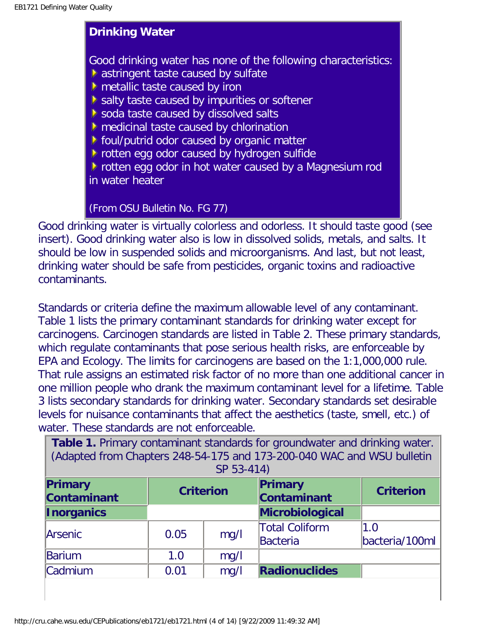## **Drinking Water**

Good drinking water has none of the following characteristics: astringent taste caused by sulfate

- **M** metallic taste caused by iron
- salty taste caused by impurities or softener
- soda taste caused by dissolved salts
- medicinal taste caused by chlorination
- **F** foul/putrid odor caused by organic matter
- **P** rotten egg odor caused by hydrogen sulfide

**F** rotten egg odor in hot water caused by a Magnesium rod in water heater

# (From OSU Bulletin No. FG 77)

Good drinking water is virtually colorless and odorless. It should taste good (see insert). Good drinking water also is low in dissolved solids, metals, and salts. It should be low in suspended solids and microorganisms. And last, but not least, drinking water should be safe from pesticides, organic toxins and radioactive contaminants.

Standards or criteria define the maximum allowable level of any contaminant. Table 1 lists the primary contaminant standards for drinking water except for carcinogens. Carcinogen standards are listed in Table 2. These primary standards, which regulate contaminants that pose serious health risks, are enforceable by EPA and Ecology. The limits for carcinogens are based on the 1:1,000,000 rule. That rule assigns an estimated risk factor of no more than one additional cancer in one million people who drank the maximum contaminant level for a lifetime. Table 3 lists secondary standards for drinking water. Secondary standards set desirable levels for nuisance contaminants that affect the aesthetics (taste, smell, etc.) of water. These standards are not enforceable.

| Table 1. Primary contaminant standards for groundwater and drinking water.<br>(Adapted from Chapters 248-54-175 and 173-200-040 WAC and WSU bulletin<br>SP 53-414) |      |      |                                          |                       |  |
|--------------------------------------------------------------------------------------------------------------------------------------------------------------------|------|------|------------------------------------------|-----------------------|--|
| Primary<br>Primary<br><b>Criterion</b><br><b>Criterion</b><br><b>Contaminant</b><br>Contaminant                                                                    |      |      |                                          |                       |  |
| <b>Inorganics</b>                                                                                                                                                  |      |      | <b>Microbiological</b>                   |                       |  |
| <b>Arsenic</b>                                                                                                                                                     | 0.05 | mg/l | <b>Total Coliform</b><br><b>Bacteria</b> | 1.0<br>bacteria/100ml |  |
| Barium                                                                                                                                                             | 1.0  | mg/l |                                          |                       |  |
| Cadmium                                                                                                                                                            | 0.01 | mg/l | <b>Radionuclides</b>                     |                       |  |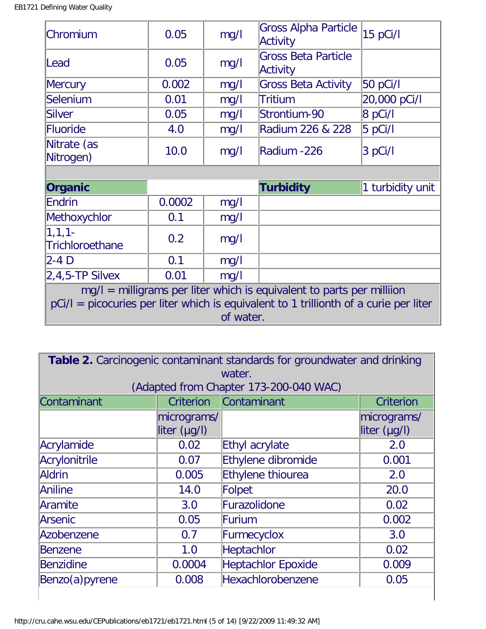| Chromium                        | 0.05   | mg/l | <b>Gross Alpha Particle</b><br>Activity | 15 pCi/l         |
|---------------------------------|--------|------|-----------------------------------------|------------------|
| Lead                            | 0.05   | mg/l | <b>Gross Beta Particle</b><br>Activity  |                  |
| <b>Mercury</b>                  | 0.002  | mg/l | <b>Gross Beta Activity</b>              | 50 pCi/l         |
| Selenium                        | 0.01   | mg/l | <b>Tritium</b>                          | 20,000 pCi/l     |
| Silver                          | 0.05   | mg/l | Strontium-90                            | $8$ pCi/l        |
| Fluoride                        | 4.0    | mg/l | Radium 226 & 228                        | $5$ pCi/l        |
| Nitrate (as<br>Nitrogen)        | 10.0   | mg/l | Radium -226                             | 3 pCi/l          |
|                                 |        |      |                                         |                  |
| Organic                         |        |      | <b>Turbidity</b>                        | 1 turbidity unit |
|                                 | 0.0002 |      |                                         |                  |
| Endrin                          |        | mg/l |                                         |                  |
|                                 | 0.1    | mg/l |                                         |                  |
| $ 1, 1, 1 -$<br>Trichloroethane | 0.2    | mg/l |                                         |                  |
| Methoxychlor<br>2-4 D           | 0.1    | mg/l |                                         |                  |
| $2,4,5$ -TP Silvex              | 0.01   | mg/l |                                         |                  |

| Table 2. Carcinogenic contaminant standards for groundwater and drinking |                             |                    |                             |  |  |
|--------------------------------------------------------------------------|-----------------------------|--------------------|-----------------------------|--|--|
| water.<br>(Adapted from Chapter 173-200-040 WAC)                         |                             |                    |                             |  |  |
| Contaminant<br>Contaminant<br>Criterion<br><b>Criterion</b>              |                             |                    |                             |  |  |
|                                                                          | micrograms/<br>liter (µg/l) |                    | micrograms/<br>liter (µg/l) |  |  |
| Acrylamide                                                               | 0.02                        | Ethyl acrylate     | 2.0                         |  |  |
| Acrylonitrile                                                            | 0.07                        | Ethylene dibromide | 0.001                       |  |  |
| Aldrin                                                                   | 0.005                       | Ethylene thiourea  | 2.0                         |  |  |
| Aniline                                                                  | 14.0                        | Folpet             | 20.0                        |  |  |
| Aramite                                                                  | 3.0                         | Furazolidone       | 0.02                        |  |  |
| <b>Arsenic</b>                                                           | 0.05                        | Furium             | 0.002                       |  |  |
| Azobenzene                                                               | 0.7                         | Furmecyclox        | 3.0                         |  |  |
| Benzene                                                                  | 1.0                         | Heptachlor         | 0.02                        |  |  |
| Benzidine                                                                | 0.0004                      | Heptachlor Epoxide | 0.009                       |  |  |
| Benzo(a) pyrene                                                          | 0.008                       | Hexachlorobenzene  | 0.05                        |  |  |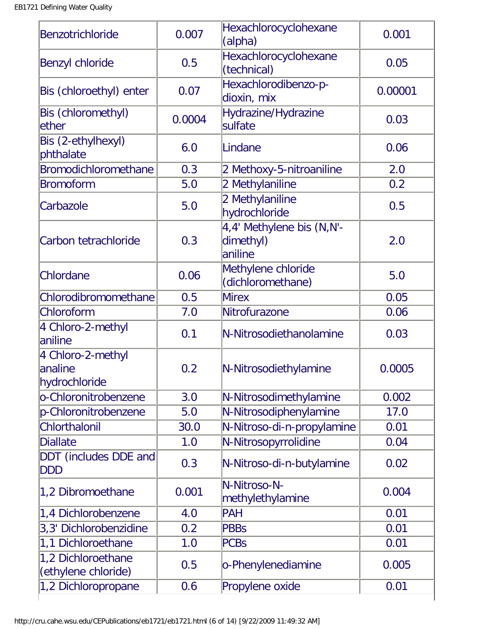| Benzotrichloride                               | 0.007  | Hexachlorocyclohexane<br>(alpha)                  | 0.001   |
|------------------------------------------------|--------|---------------------------------------------------|---------|
| <b>Benzyl chloride</b>                         | 0.5    | Hexachlorocyclohexane<br>(technical)              | 0.05    |
| Bis (chloroethyl) enter                        | 0.07   | Hexachlorodibenzo-p-<br>dioxin, mix               | 0.00001 |
| Bis (chloromethyl)<br>lether                   | 0.0004 | Hydrazine/Hydrazine<br>sulfate                    | 0.03    |
| Bis (2-ethylhexyl)<br>phthalate                | 6.0    | Lindane                                           | 0.06    |
| Bromodichloromethane                           | 0.3    | 2 Methoxy-5-nitroaniline                          | 2.0     |
| <b>Bromoform</b>                               | 5.0    | 2 Methylaniline                                   | 0.2     |
| Carbazole                                      | 5.0    | 2 Methylaniline<br>hydrochloride                  | 0.5     |
| Carbon tetrachloride                           | 0.3    | 4,4' Methylene bis (N,N'-<br>dimethyl)<br>aniline | 2.0     |
| Chlordane                                      | 0.06   | Methylene chloride<br>(dichloromethane)           | 5.0     |
| Chlorodibromomethane                           | 0.5    | <b>Mirex</b>                                      | 0.05    |
| Chloroform                                     | 7.0    | Nitrofurazone                                     | 0.06    |
| 4 Chloro-2-methyl<br>laniline                  | 0.1    | N-Nitrosodiethanolamine                           | 0.03    |
| 4 Chloro-2-methyl<br>lanaline<br>hydrochloride | 0.2    | N-Nitrosodiethylamine                             | 0.0005  |
| o-Chloronitrobenzene                           | 3.0    | N-Nitrosodimethylamine                            | 0.002   |
| p-Chloronitrobenzene                           | 5.0    | N-Nitrosodiphenylamine                            | 17.0    |
| Chlorthalonil                                  | 30.0   | N-Nitroso-di-n-propylamine                        | 0.01    |
| <b>Diallate</b>                                | 1.0    | N-Nitrosopyrrolidine                              | 0.04    |
| DDT (includes DDE and<br>DDD                   | 0.3    | N-Nitroso-di-n-butylamine                         | 0.02    |
| 1,2 Dibromoethane                              | 0.001  | N-Nitroso-N-<br>methylethylamine                  | 0.004   |
| 1,4 Dichlorobenzene                            | 4.0    | PAH                                               | 0.01    |
| 3,3' Dichlorobenzidine                         | 0.2    | <b>PBBs</b>                                       | 0.01    |
| 1,1 Dichloroethane                             | 1.0    | <b>PCBs</b>                                       | 0.01    |
| 1,2 Dichloroethane<br>(ethylene chloride)      | 0.5    | o-Phenylenediamine                                | 0.005   |
| 1,2 Dichloropropane                            | 0.6    | Propylene oxide                                   | 0.01    |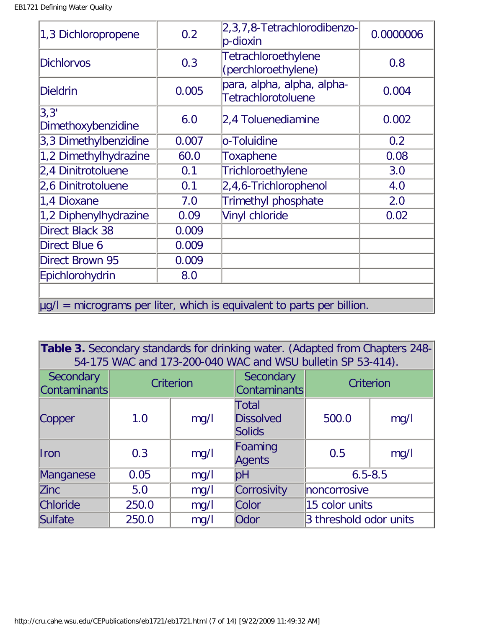| 1,3 Dichloropropene        | 0.2   | 2, 3, 7, 8- Tetrachlorodibenzo-<br>$ p$ -dioxin                             | 0.0000006 |
|----------------------------|-------|-----------------------------------------------------------------------------|-----------|
| <b>Dichlorvos</b>          | 0.3   | <b>Tetrachloroethylene</b><br>(perchloroethylene)                           | 0.8       |
| <b>Dieldrin</b>            | 0.005 | para, alpha, alpha, alpha-<br><b>Tetrachlorotoluene</b>                     | 0.004     |
| 3,3'<br>Dimethoxybenzidine | 6.0   | 2,4 Toluenediamine                                                          | 0.002     |
| 3,3 Dimethylbenzidine      | 0.007 | o-Toluidine                                                                 | 0.2       |
| 1,2 Dimethylhydrazine      | 60.0  | <b>Toxaphene</b>                                                            | 0.08      |
| 2,4 Dinitrotoluene         | 0.1   | Trichloroethylene                                                           | 3.0       |
| 2,6 Dinitrotoluene         | 0.1   | 2,4,6-Trichlorophenol                                                       | 4.0       |
| 1,4 Dioxane                | 7.0   | <b>Trimethyl phosphate</b>                                                  | 2.0       |
| 1,2 Diphenylhydrazine      | 0.09  | Vinyl chloride                                                              | 0.02      |
| Direct Black 38            | 0.009 |                                                                             |           |
| Direct Blue 6              | 0.009 |                                                                             |           |
| Direct Brown 95            | 0.009 |                                                                             |           |
| Epichlorohydrin            | 8.0   |                                                                             |           |
|                            |       | $\mu$ g/l = micrograms per liter, which is equivalent to parts per billion. |           |

**Table 3.** Secondary standards for drinking water. (Adapted from Chapters 248- 54-175 WAC and 173-200-040 WAC and WSU bulletin SP 53-414).

| Secondary<br>Contaminants | Criterion |      | Secondary<br>Contaminants                  | Criterion              |      |
|---------------------------|-----------|------|--------------------------------------------|------------------------|------|
| Copper                    | 1.0       | mg/l | Total<br><b>Dissolved</b><br><b>Solids</b> | 500.0                  | mg/l |
| <b>I</b> ron              | 0.3       | mg/l | Foaming<br>Agents                          | 0.5                    | mg/l |
| Manganese                 | 0.05      | mg/l | pH                                         | $6.5 - 8.5$            |      |
| <b>Zinc</b>               | 5.0       | mg/l | Corrosivity                                | noncorrosive           |      |
| <b>Chloride</b>           | 250.0     | mg/l | Color                                      | 15 color units         |      |
| Sulfate                   | 250.0     | mg/l | Odor                                       | 3 threshold odor units |      |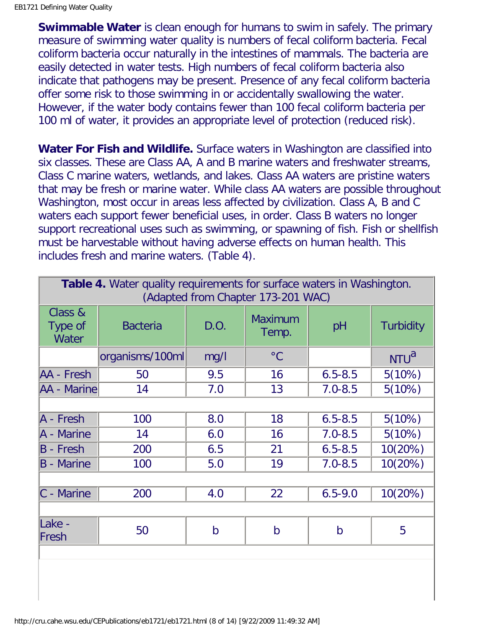**Swimmable Water** is clean enough for humans to swim in safely. The primary measure of swimming water quality is numbers of fecal coliform bacteria. Fecal coliform bacteria occur naturally in the intestines of mammals. The bacteria are easily detected in water tests. High numbers of fecal coliform bacteria also indicate that pathogens may be present. Presence of any fecal coliform bacteria offer some risk to those swimming in or accidentally swallowing the water. However, if the water body contains fewer than 100 fecal coliform bacteria per 100 ml of water, it provides an appropriate level of protection (reduced risk).

**Water For Fish and Wildlife.** Surface waters in Washington are classified into six classes. These are Class AA, A and B marine waters and freshwater streams, Class C marine waters, wetlands, and lakes. Class AA waters are pristine waters that may be fresh or marine water. While class AA waters are possible throughout Washington, most occur in areas less affected by civilization. Class A, B and C waters each support fewer beneficial uses, in order. Class B waters no longer support recreational uses such as swimming, or spawning of fish. Fish or shellfish must be harvestable without having adverse effects on human health. This includes fresh and marine waters. (Table 4).

| <b>Table 4.</b> Water quality requirements for surface waters in Washington.<br>(Adapted from Chapter 173-201 WAC) |                 |              |                         |              |                  |
|--------------------------------------------------------------------------------------------------------------------|-----------------|--------------|-------------------------|--------------|------------------|
| Class &<br>Type of<br>Water                                                                                        | <b>Bacteria</b> | D.O.         | <b>Maximum</b><br>Temp. | pH           | <b>Turbidity</b> |
|                                                                                                                    | organisms/100ml | mg/l         | $\rm ^{\circ}C$         |              | NTU <sup>a</sup> |
| AA - Fresh                                                                                                         | 50              | 9.5          | 16                      | $6.5 - 8.5$  | 5(10%)           |
| AA - Marine                                                                                                        | 14              | 7.0          | 13                      | $7.0 - 8.5$  | 5(10%)           |
|                                                                                                                    |                 |              |                         |              |                  |
| A - Fresh                                                                                                          | 100             | 8.0          | 18                      | $6.5 - 8.5$  | 5(10%)           |
| A - Marine                                                                                                         | 14              | 6.0          | 16                      | $7.0 - 8.5$  | 5(10%)           |
| $B -$ Fresh                                                                                                        | 200             | 6.5          | 21                      | $6.5 - 8.5$  | 10(20%)          |
| $B -$ Marine                                                                                                       | 100             | 5.0          | 19                      | $7.0 - 8.5$  | 10(20%)          |
|                                                                                                                    |                 |              |                         |              |                  |
| $ C -$ Marine                                                                                                      | 200             | 4.0          | 22                      | $6.5 - 9.0$  | 10(20%)          |
|                                                                                                                    |                 |              |                         |              |                  |
| Lake -<br>Fresh                                                                                                    | 50              | $\mathsf{b}$ | $\mathsf b$             | $\mathsf{b}$ | 5                |
|                                                                                                                    |                 |              |                         |              |                  |
|                                                                                                                    |                 |              |                         |              |                  |
|                                                                                                                    |                 |              |                         |              |                  |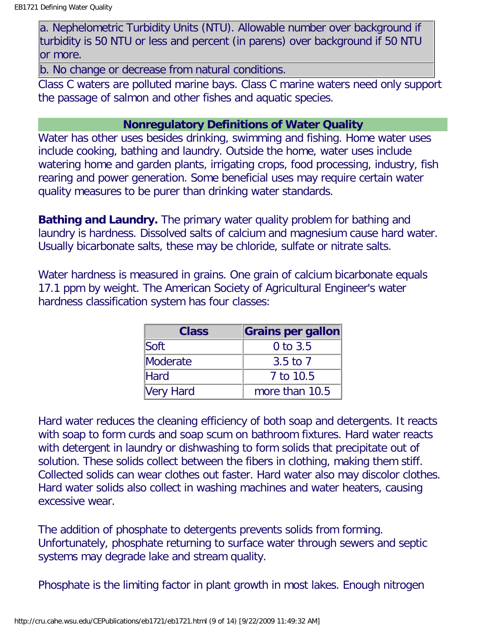a. Nephelometric Turbidity Units (NTU). Allowable number over background if turbidity is 50 NTU or less and percent (in parens) over background if 50 NTU or more.

b. No change or decrease from natural conditions.

Class C waters are polluted marine bays. Class C marine waters need only support the passage of salmon and other fishes and aquatic species.

### **Nonregulatory Definitions of Water Quality**

Water has other uses besides drinking, swimming and fishing. Home water uses include cooking, bathing and laundry. Outside the home, water uses include watering home and garden plants, irrigating crops, food processing, industry, fish rearing and power generation. Some beneficial uses may require certain water quality measures to be purer than drinking water standards.

**Bathing and Laundry.** The primary water quality problem for bathing and laundry is hardness. Dissolved salts of calcium and magnesium cause hard water. Usually bicarbonate salts, these may be chloride, sulfate or nitrate salts.

Water hardness is measured in grains. One grain of calcium bicarbonate equals 17.1 ppm by weight. The American Society of Agricultural Engineer's water hardness classification system has four classes:

| <b>Class</b>     | <b>Grains per gallon</b> |
|------------------|--------------------------|
| Soft             | $0$ to $3.5$             |
| Moderate         | $3.5$ to $7$             |
| <b>Hard</b>      | 7 to 10.5                |
| <b>Very Hard</b> | more than 10.5           |

Hard water reduces the cleaning efficiency of both soap and detergents. It reacts with soap to form curds and soap scum on bathroom fixtures. Hard water reacts with detergent in laundry or dishwashing to form solids that precipitate out of solution. These solids collect between the fibers in clothing, making them stiff. Collected solids can wear clothes out faster. Hard water also may discolor clothes. Hard water solids also collect in washing machines and water heaters, causing excessive wear.

The addition of phosphate to detergents prevents solids from forming. Unfortunately, phosphate returning to surface water through sewers and septic systems may degrade lake and stream quality.

Phosphate is the limiting factor in plant growth in most lakes. Enough nitrogen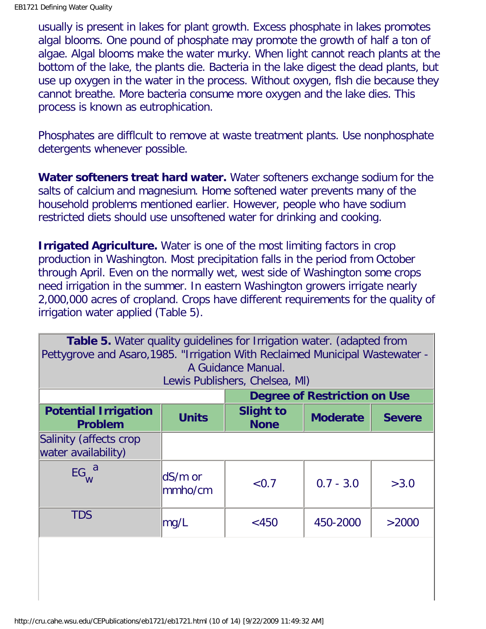usually is present in lakes for plant growth. Excess phosphate in lakes promotes algal blooms. One pound of phosphate may promote the growth of half a ton of algae. Algal blooms make the water murky. When light cannot reach plants at the bottom of the lake, the plants die. Bacteria in the lake digest the dead plants, but use up oxygen in the water in the process. Without oxygen, flsh die because they cannot breathe. More bacteria consume more oxygen and the lake dies. This process is known as eutrophication.

Phosphates are difflcult to remove at waste treatment plants. Use nonphosphate detergents whenever possible.

**Water softeners treat hard water.** Water softeners exchange sodium for the salts of calcium and magnesium. Home softened water prevents many of the household problems mentioned earlier. However, people who have sodium restricted diets should use unsoftened water for drinking and cooking.

**Irrigated Agriculture.** Water is one of the most limiting factors in crop production in Washington. Most precipitation falls in the period from October through April. Even on the normally wet, west side of Washington some crops need irrigation in the summer. In eastern Washington growers irrigate nearly 2,000,000 acres of cropland. Crops have different requirements for the quality of irrigation water applied (Table 5).

| <b>Table 5.</b> Water quality guidelines for Irrigation water. (adapted from<br>Pettygrove and Asaro, 1985. "Irrigation With Reclaimed Municipal Wastewater -<br>A Guidance Manual.<br>Lewis Publishers, Chelsea, MI) |                                                                                     |       |                              |       |  |
|-----------------------------------------------------------------------------------------------------------------------------------------------------------------------------------------------------------------------|-------------------------------------------------------------------------------------|-------|------------------------------|-------|--|
|                                                                                                                                                                                                                       |                                                                                     |       | Degree of Restriction on Use |       |  |
| <b>Potential Irrigation</b><br><b>Problem</b>                                                                                                                                                                         | <b>Slight to</b><br><b>Units</b><br><b>Moderate</b><br><b>Severe</b><br><b>None</b> |       |                              |       |  |
| Salinity (affects crop<br>water availability)                                                                                                                                                                         |                                                                                     |       |                              |       |  |
| $EG_{W}^{a}$                                                                                                                                                                                                          | dS/m or<br>$\mathsf{lmmho/cm}$                                                      | < 0.7 | $0.7 - 3.0$                  | >3.0  |  |
| <b>TDS</b>                                                                                                                                                                                                            | mg/L                                                                                | < 450 | 450-2000                     | >2000 |  |
|                                                                                                                                                                                                                       |                                                                                     |       |                              |       |  |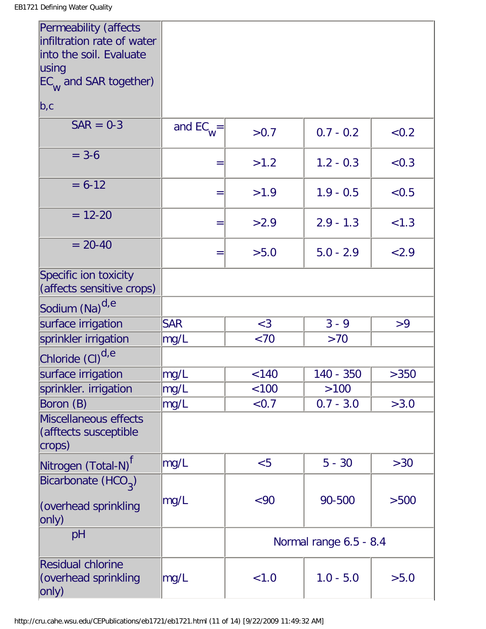| Permeability (affects<br>infiltration rate of water<br>into the soil. Evaluate |                |         |                        |       |
|--------------------------------------------------------------------------------|----------------|---------|------------------------|-------|
| using                                                                          |                |         |                        |       |
| $EC$ <sub>W</sub> and SAR together)                                            |                |         |                        |       |
| b,c                                                                            |                |         |                        |       |
| $SAR = 0-3$                                                                    | and $EC_{W}$ = | >0.7    | $0.7 - 0.2$            | < 0.2 |
| $= 3-6$                                                                        | $=$            | >1.2    | $1.2 - 0.3$            | < 0.3 |
| $= 6 - 12$                                                                     | $=$            | >1.9    | $1.9 - 0.5$            | < 0.5 |
| $= 12 - 20$                                                                    | $=$            | >2.9    | $2.9 - 1.3$            | < 1.3 |
| $= 20 - 40$                                                                    | $=$            | >5.0    | $5.0 - 2.9$            | < 2.9 |
| Specific ion toxicity<br>(affects sensitive crops)                             |                |         |                        |       |
| Sodium (Na) <sup>d,e</sup>                                                     |                |         |                        |       |
| surface irrigation                                                             | <b>SAR</b>     | $<$ 3   | $3 - 9$                | >9    |
| sprinkler irrigation                                                           | mg/L           | $~<$ 70 | >70                    |       |
| Chloride (CI) <sup>d,e</sup>                                                   |                |         |                        |       |
| surface irrigation                                                             | mg/L           | < 140   | 140 - 350              | >350  |
| sprinkler. irrigation                                                          | mg/L           | < 100   | >100                   |       |
| Boron (B)                                                                      | mg/L           | < 0.7   | $0.7 - 3.0$            | >3.0  |
| Miscellaneous effects<br>(afftects susceptible<br>$\vert$ crops)               |                |         |                        |       |
| Nitrogen (Total-N) <sup>t</sup>                                                | mg/L           | < 5     | $5 - 30$               | >30   |
| Bicarbonate (HCO <sub>3</sub> )<br>(overhead sprinkling<br>only)               | mg/L           | <90     | 90-500                 | >500  |
| pH                                                                             |                |         | Normal range 6.5 - 8.4 |       |
| <b>Residual chlorine</b><br>(overhead sprinkling<br> only)                     | mg/L           | < 1.0   | $1.0 - 5.0$            | >5.0  |

'n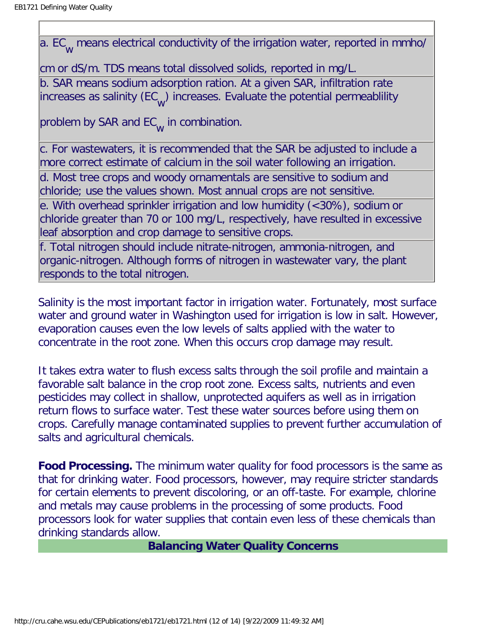a. EC<sub>W</sub> means electrical conductivity of the irrigation water, reported in mmho/

cm or dS/m. TDS means total dissolved solids, reported in mg/L. b. SAR means sodium adsorption ration. At a given SAR, infiltration rate increases as salinity (EC<sub>w</sub>) increases. Evaluate the potential permeablility

problem by SAR and EC<sub>W</sub> in combination.

c. For wastewaters, it is recommended that the SAR be adjusted to include a more correct estimate of calcium in the soil water following an irrigation.

d. Most tree crops and woody ornamentals are sensitive to sodium and chloride; use the values shown. Most annual crops are not sensitive.

e. With overhead sprinkler irrigation and low humidity (<30%), sodium or chloride greater than 70 or 100 mg/L, respectively, have resulted in excessive leaf absorption and crop damage to sensitive crops.

f. Total nitrogen should include nitrate-nitrogen, ammonia-nitrogen, and organic-nitrogen. Although forms of nitrogen in wastewater vary, the plant responds to the total nitrogen.

Salinity is the most important factor in irrigation water. Fortunately, most surface water and ground water in Washington used for irrigation is low in salt. However, evaporation causes even the low levels of salts applied with the water to concentrate in the root zone. When this occurs crop damage may result.

It takes extra water to flush excess salts through the soil profile and maintain a favorable salt balance in the crop root zone. Excess salts, nutrients and even pesticides may collect in shallow, unprotected aquifers as well as in irrigation return flows to surface water. Test these water sources before using them on crops. Carefully manage contaminated supplies to prevent further accumulation of salts and agricultural chemicals.

**Food Processing.** The minimum water quality for food processors is the same as that for drinking water. Food processors, however, may require stricter standards for certain elements to prevent discoloring, or an off-taste. For example, chlorine and metals may cause problems in the processing of some products. Food processors look for water supplies that contain even less of these chemicals than drinking standards allow.

**Balancing Water Quality Concerns**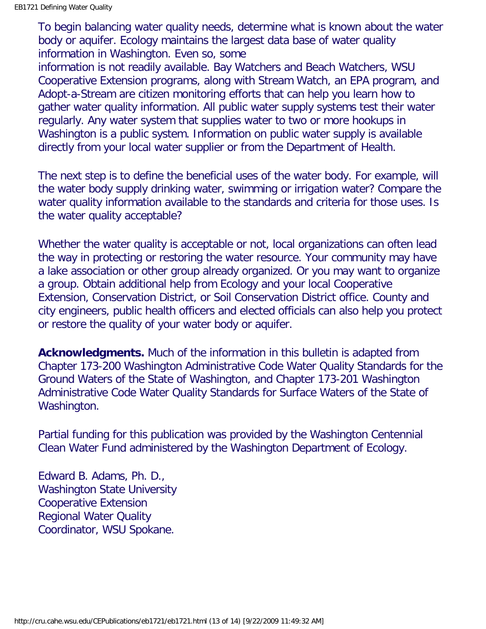To begin balancing water quality needs, determine what is known about the water body or aquifer. Ecology maintains the largest data base of water quality information in Washington. Even so, some

information is not readily available. Bay Watchers and Beach Watchers, WSU Cooperative Extension programs, along with Stream Watch, an EPA program, and Adopt-a-Stream are citizen monitoring efforts that can help you learn how to gather water quality information. All public water supply systems test their water regularly. Any water system that supplies water to two or more hookups in Washington is a public system. Information on public water supply is available directly from your local water supplier or from the Department of Health.

The next step is to define the beneficial uses of the water body. For example, will the water body supply drinking water, swimming or irrigation water? Compare the water quality information available to the standards and criteria for those uses. Is the water quality acceptable?

Whether the water quality is acceptable or not, local organizations can often lead the way in protecting or restoring the water resource. Your community may have a lake association or other group already organized. Or you may want to organize a group. Obtain additional help from Ecology and your local Cooperative Extension, Conservation District, or Soil Conservation District office. County and city engineers, public health officers and elected officials can also help you protect or restore the quality of your water body or aquifer.

**Acknowledgments.** Much of the information in this bulletin is adapted from Chapter 173-200 Washington Administrative Code Water Quality Standards for the Ground Waters of the State of Washington, and Chapter 173-201 Washington Administrative Code Water Quality Standards for Surface Waters of the State of Washington.

Partial funding for this publication was provided by the Washington Centennial Clean Water Fund administered by the Washington Department of Ecology.

Edward B. Adams, Ph. D., Washington State University Cooperative Extension Regional Water Quality Coordinator, WSU Spokane.